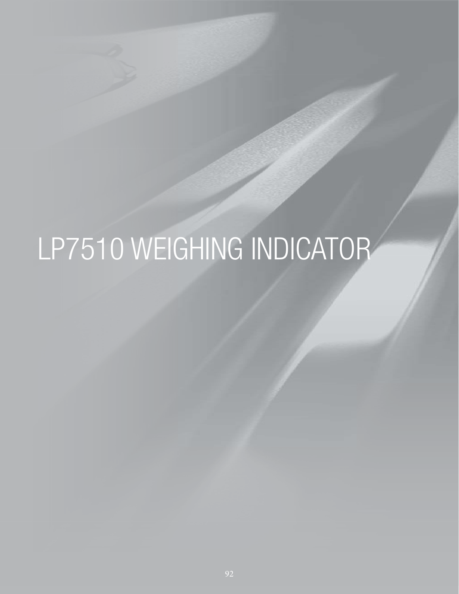# LP7510 WEIGHING INDICATOR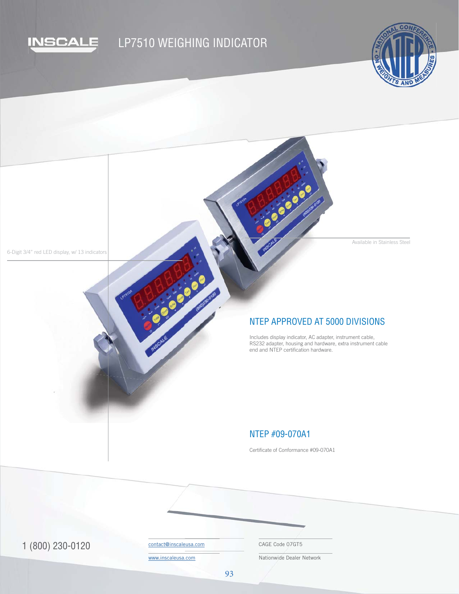

## LP7510 WEIGHING INDICATOR

Elitera



Available in Stainless Steel

6-Digit 3/4" red LED display, w/ 13 indicators

## NTEP APPROVED AT 5000 DIVISIONS

EN 1000

Includes display indicator, AC adapter, instrument cable, RS232 adapter, housing and hardware, extra instrument cable end and NTEP certification hardware.

## NTEP #09-070A1

Certificate of Conformance #09-070A1

1 (800) 230-0120 Contact@inscaleusa.com CAGE Code 07GT5

contact@inscaleusa.com

www.inscaleusa.com

Nationwide Dealer Network

93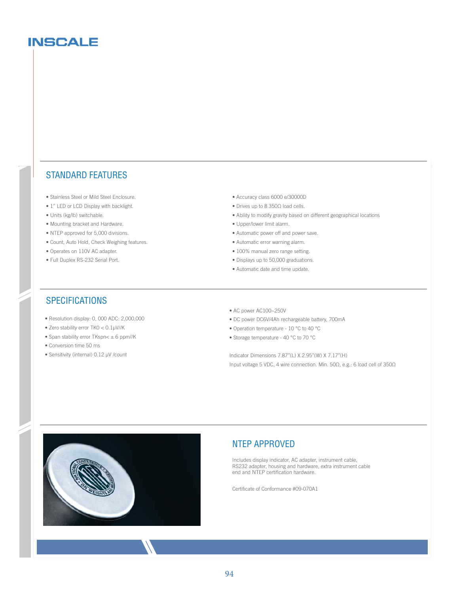## **INSCALE**

### STANDARD FEATURES

- Stainless Steel or Mild Steel Enclosure.
- 1" LED or LCD Display with backlight.
- Units (kg/lb) switchable.
- Mounting bracket and Hardware.
- NTEP approved for 5,000 divisions.
- Count, Auto Hold, Check Weighing features.
- Operates on 110V AC adapter.
- Full Duplex RS-232 Serial Port.
- Accuracy class 6000 e/30000D
- Drives up to 8 350Ω load cells.
- Ability to modify gravity based on different geographical locations
- Upper/lower limit alarm.
- Automatic power off and power save.
- Automatic error warning alarm.
- 100% manual zero range setting.
- Displays up to 50,000 graduations.
- Automatic date and time update.

## **SPECIFICATIONS**

- Resolution display: 0, 000 ADC: 2,000,000
- Zero stability error TK0 < 0.1μV//K
- Span stability error TKspn $<$   $\pm$  6 ppm//K
- Conversion time 50 ms
- Sensitivity (internal) 0.12 μV /count
- AC power AC100~250V
- DC power DC6V/4Ah rechargeable battery, 700mA
- Operation temperature 10 °C to 40 °C
- Storage temperature 40 °C to 70 °C

Indicator Dimensions 7.87''(L) X 2.95''(W) X 7.17''(H) Input voltage 5 VDC, 4 wire connection. Min. 50Ω, e.g.: 6 load cell of 350Ω



### NTEP APPROVED

Includes display indicator, AC adapter, instrument cable, RS232 adapter, housing and hardware, extra instrument cable end and NTEP certification hardware.

Certificate of Conformance #09-070A1